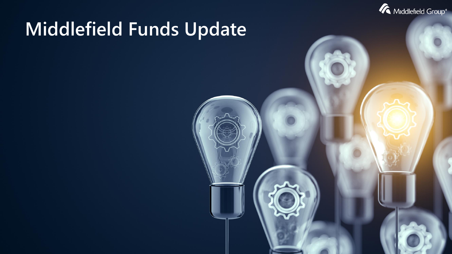

# **Middlefield Funds Update**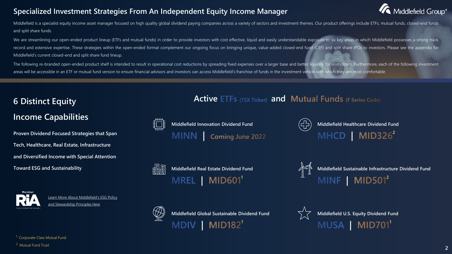#### **Specialized Investment Strategies From An Independent Equity Income Manager**



Middlefield is a specialist equity income asset manager focused on high quality global dividend paying companies across a variety of sectors and investment themes. Our product offerings include ETFs, mutual funds, closed-e and split share funds.

We are streamlining our open-ended product lineup (ETFs and mutual funds) in order to provide investors with cost effective, liquid and easily understandable exposure to six key areas in which Middlefield possesses a stron record and extensive expertise. These strategies within the open-ended format complement our ongoing focus on bringing unique, value-added closed-end fund (CEF) and split share IPOs to investors. Please see the appendix fo Middlefield's current closed-end and split share fund lineup.

The following re-branded open-ended product shelf is intended to result in operational cost reductions by spreading fixed expenses over a larger base and better liquidity for unitholders. Furthermore, each of the following areas will be accessible in an ETF or mutual fund version to ensure financial advisors and investors can access Middlefield's franchise of funds in the investment vehicle with which they are most comfortable.

## **6 Distinct Equity Income Capabilities**

**Proven Dividend Focused Strategies that Span Tech, Healthcare, Real Estate, Infrastructure and Diversified Income with Special Attention Toward ESG and Sustainability**



**Middlefield Innovation Dividend Fund** MINN Coming June 2022



**Active ETFs (TSX Ticker) and Mutual Funds (F Series Code)** 

**Middlefield Healthcare Dividend Fund MHCD** | **MID326<sup>2</sup>** 



**Middlefield Real Estate Dividend Fund MREL** | **MID601**<sup>1</sup>



**Middlefield Sustainable Infrastructure Dividend Fund | MID501**<sup>2</sup>



[Learn More About Middlefield's ESG Policy](https://www.middlefield.com/esg.htm)  and Stewardship Principles Here



**Middlefield Global Sustainable Dividend Fund MDIV | MID1821** 

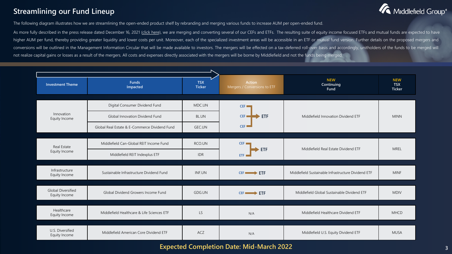#### **Streamlining our Fund Lineup**



The following diagram illustrates how we are streamlining the open-ended product shelf by rebranding and merging various funds to increase AUM per open-ended fund.

As more fully described in the press release dated December 16, 2021 (click [here\)](https://www.middlefield.com/pressrls/trusts/121621.pdf), we are merging and converting several of our CEFs and ETFs. The resulting suite of equity income focused ETFs and mutual funds are expected higher AUM per fund, thereby providing greater liquidity and lower costs per unit. Moreover, each of the specialized investment areas will be accessible in an ETF or mutual fund version. Further details on the proposed mer conversions will be outlined in the Management Information Circular that will be made available to investors. The mergers will be effected on a tax-deferred roll-over basis and accordingly, unitholders of the funds to be m not realize capital gains or losses as a result of the mergers. All costs and expenses directly associated with the mergers will be borne by Middlefield and not the funds being merged.

| <b>Investment Theme</b>                    | <b>Funds</b><br><b>Impacted</b>                                                                                    | <b>TSX</b><br><b>Ticker</b>      | <b>Action</b><br>Mergers / Conversions to ETF | <b>NEW</b><br>Continuing<br>Fund                    | <b>NEW</b><br><b>TSX</b><br><b>Ticker</b> |  |  |
|--------------------------------------------|--------------------------------------------------------------------------------------------------------------------|----------------------------------|-----------------------------------------------|-----------------------------------------------------|-------------------------------------------|--|--|
| Innovation<br>Equity Income                | Digital Consumer Dividend Fund<br>Global Innovation Dividend Fund<br>Global Real Estate & E-Commerce Dividend Fund | MDC.UN<br><b>BL.UN</b><br>GEC.UN | $CEF =$<br>$CEF =$<br>∙ etf<br>CFF            | Middlefield Innovation Dividend ETF                 | <b>MINN</b>                               |  |  |
| Real Estate<br>Equity Income               | Middlefield Can-Global REIT Income Fund<br>Middlefield REIT Indexplus ETF                                          | RCO.UN<br><b>IDR</b>             | $CEF =$<br><b>ETF</b><br>ETF <sub>1</sub>     | Middlefield Real Estate Dividend ETF                | <b>MREL</b>                               |  |  |
| Infrastructure<br>Equity Income            | Sustainable Infrastructure Dividend Fund                                                                           | INF.UN                           | CEF <b>SHOPE</b> ETF                          | Middlefield Sustainable Infrastructure Dividend ETF | <b>MINF</b>                               |  |  |
| <b>Global Diversified</b><br>Equity Income | Global Dividend Growers Income Fund                                                                                | GDG.UN                           | CEF <b>EXECUTE:</b>                           | Middlefield Global Sustainable Dividend ETF         | <b>MDIV</b>                               |  |  |
| Healthcare<br>Equity Income                | Middlefield Healthcare & Life Sciences ETF                                                                         | LS                               | N/A                                           | Middlefield Healthcare Dividend ETF                 | <b>MHCD</b>                               |  |  |
| U.S. Diversified<br>Equity Income          | Middlefield American Core Dividend ETF                                                                             | <b>ACZ</b>                       | N/A                                           | Middlefield U.S. Equity Dividend ETF                | <b>MUSA</b>                               |  |  |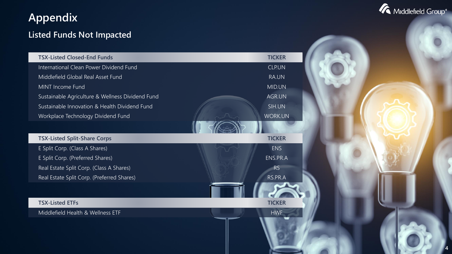## **Appendix**

## **Listed Funds Not Impacted**

| <b>TSX-Listed Closed-End Funds</b>               | <b>TICKER</b>  |
|--------------------------------------------------|----------------|
| International Clean Power Dividend Fund          | <b>CLPUN</b>   |
| Middlefield Global Real Asset Fund               | <b>RA.UN</b>   |
| MINT Income Fund                                 | MID.UN         |
| Sustainable Agriculture & Wellness Dividend Fund | AGR.UN         |
| Sustainable Innovation & Health Dividend Fund    | SIH.UN         |
| Workplace Technology Dividend Fund               | <b>WORK.UN</b> |
|                                                  |                |
| <b>TSX-Listed Split-Share Corps</b>              | <b>TICKER</b>  |
| E Split Corp. (Class A Shares)                   | <b>ENS</b>     |
| E Split Corp. (Preferred Shares)                 | ENS.PR.A       |
| Real Estate Split Corp. (Class A Shares)         | <b>RS</b>      |
| Real Estate Split Corp. (Preferred Shares)       | RS.PR.A        |
|                                                  |                |
| <b>TSX-Listed ETFs</b>                           | <b>TICKER</b>  |
| Middlefield Health & Wellness ETF                | <b>HWF</b>     |
|                                                  |                |



**4**